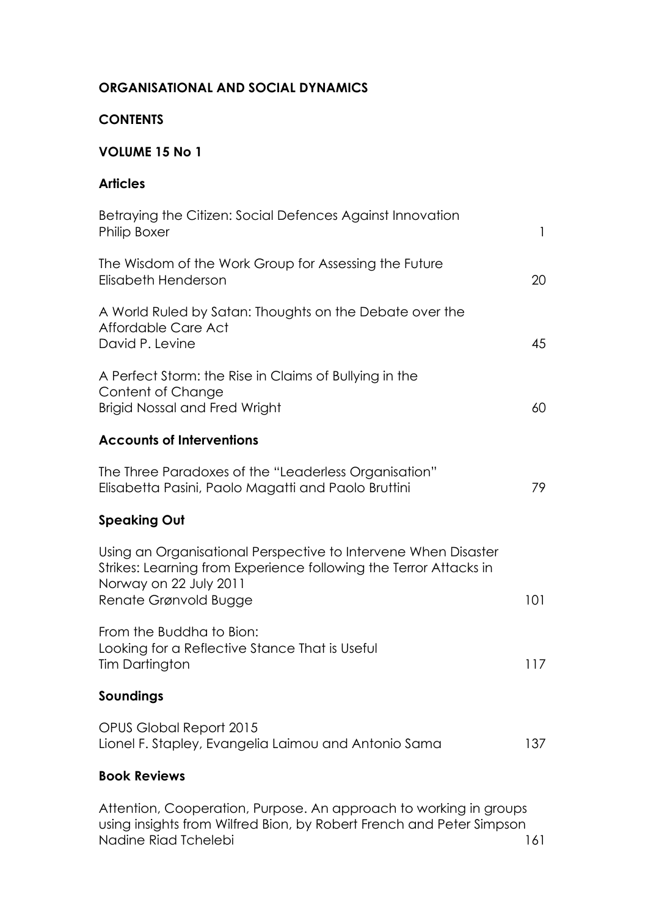#### **ORGANISATIONAL AND SOCIAL DYNAMICS**

### **CONTENTS**

### **VOLUME 15 No 1**

### **Articles**

| Betraying the Citizen: Social Defences Against Innovation<br><b>Philip Boxer</b>                                                                                                       | $\mathbf{1}$ |
|----------------------------------------------------------------------------------------------------------------------------------------------------------------------------------------|--------------|
| The Wisdom of the Work Group for Assessing the Future<br>Elisabeth Henderson                                                                                                           | 20           |
| A World Ruled by Satan: Thoughts on the Debate over the<br>Affordable Care Act<br>David P. Levine                                                                                      | 45           |
| A Perfect Storm: the Rise in Claims of Bullying in the<br>Content of Change<br><b>Brigid Nossal and Fred Wright</b>                                                                    | 60           |
| <b>Accounts of Interventions</b>                                                                                                                                                       |              |
| The Three Paradoxes of the "Leaderless Organisation"<br>Elisabetta Pasini, Paolo Magatti and Paolo Bruttini                                                                            | 79           |
| <b>Speaking Out</b>                                                                                                                                                                    |              |
| Using an Organisational Perspective to Intervene When Disaster<br>Strikes: Learning from Experience following the Terror Attacks in<br>Norway on 22 July 2011<br>Renate Grønvold Bugge | 101          |
| From the Buddha to Bion:<br>Looking for a Reflective Stance That is Useful<br>Tim Dartington                                                                                           | 117          |
| Soundings                                                                                                                                                                              |              |
| OPUS Global Report 2015<br>Lionel F. Stapley, Evangelia Laimou and Antonio Sama                                                                                                        | 137          |
| <b>Book Reviews</b>                                                                                                                                                                    |              |

Attention, Cooperation, Purpose. An approach to working in groups using insights from Wilfred Bion, by Robert French and Peter Simpson Nadine Riad Tchelebi 2001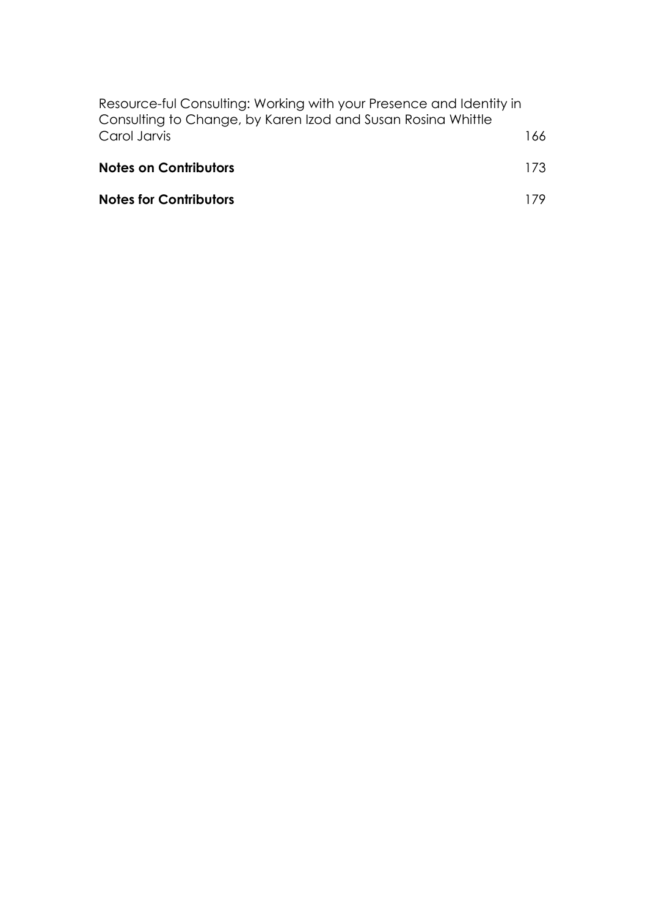| Resource-ful Consulting: Working with your Presence and Identity in<br>Consulting to Change, by Karen Izod and Susan Rosina Whittle |      |
|-------------------------------------------------------------------------------------------------------------------------------------|------|
| Carol Jarvis                                                                                                                        | 166. |
| <b>Notes on Contributors</b>                                                                                                        | 173. |
| <b>Notes for Contributors</b>                                                                                                       |      |